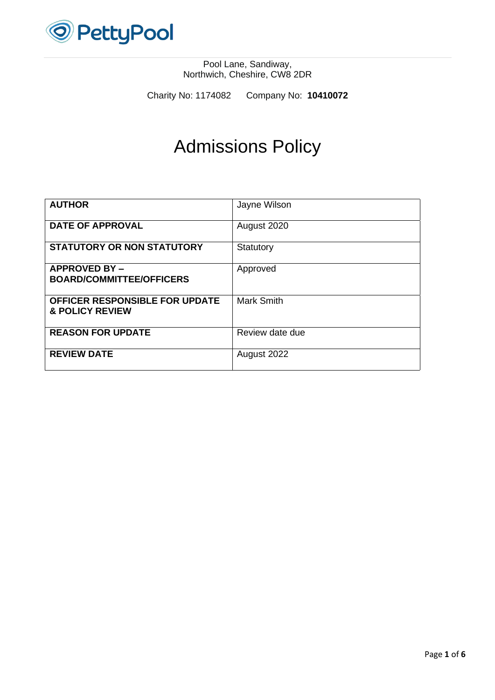

Charity No: 1174082 Company No: **10410072**

# Admissions Policy

| <b>AUTHOR</b>                                                       | Jayne Wilson      |
|---------------------------------------------------------------------|-------------------|
| <b>DATE OF APPROVAL</b>                                             | August 2020       |
| <b>STATUTORY OR NON STATUTORY</b>                                   | Statutory         |
| <b>APPROVED BY-</b><br><b>BOARD/COMMITTEE/OFFICERS</b>              | Approved          |
| <b>OFFICER RESPONSIBLE FOR UPDATE</b><br><b>&amp; POLICY REVIEW</b> | <b>Mark Smith</b> |
| <b>REASON FOR UPDATE</b>                                            | Review date due   |
| <b>REVIEW DATE</b>                                                  | August 2022       |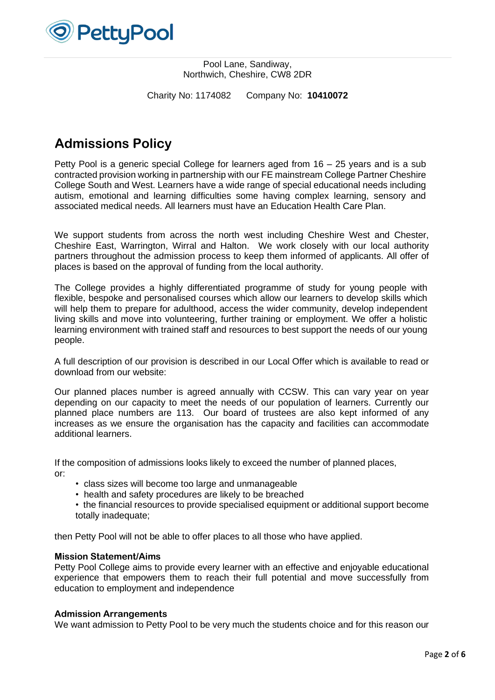

Charity No: 1174082 Company No: **10410072**

# **Admissions Policy**

Petty Pool is a generic special College for learners aged from 16 – 25 years and is a sub contracted provision working in partnership with our FE mainstream College Partner Cheshire College South and West. Learners have a wide range of special educational needs including autism, emotional and learning difficulties some having complex learning, sensory and associated medical needs. All learners must have an Education Health Care Plan.

We support students from across the north west including Cheshire West and Chester, Cheshire East, Warrington, Wirral and Halton. We work closely with our local authority partners throughout the admission process to keep them informed of applicants. All offer of places is based on the approval of funding from the local authority.

The College provides a highly differentiated programme of study for young people with flexible, bespoke and personalised courses which allow our learners to develop skills which will help them to prepare for adulthood, access the wider community, develop independent living skills and move into volunteering, further training or employment. We offer a holistic learning environment with trained staff and resources to best support the needs of our young people.

A full description of our provision is described in our Local Offer which is available to read or download from our website:

Our planned places number is agreed annually with CCSW. This can vary year on year depending on our capacity to meet the needs of our population of learners. Currently our planned place numbers are 113. Our board of trustees are also kept informed of any increases as we ensure the organisation has the capacity and facilities can accommodate additional learners.

If the composition of admissions looks likely to exceed the number of planned places, or:

- class sizes will become too large and unmanageable
- health and safety procedures are likely to be breached
- the financial resources to provide specialised equipment or additional support become totally inadequate;

then Petty Pool will not be able to offer places to all those who have applied.

# **Mission Statement/Aims**

Petty Pool College aims to provide every learner with an effective and enjoyable educational experience that empowers them to reach their full potential and move successfully from education to employment and independence

# **Admission Arrangements**

We want admission to Petty Pool to be very much the students choice and for this reason our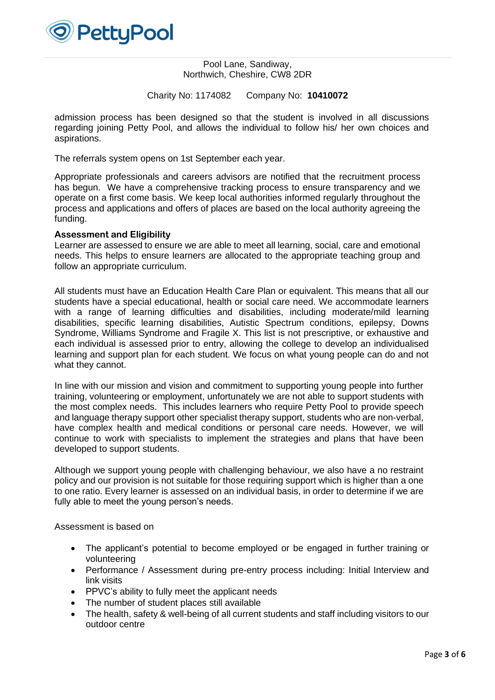

Charity No: 1174082 Company No: **10410072**

admission process has been designed so that the student is involved in all discussions regarding joining Petty Pool, and allows the individual to follow his/ her own choices and aspirations.

The referrals system opens on 1st September each year.

Appropriate professionals and careers advisors are notified that the recruitment process has begun. We have a comprehensive tracking process to ensure transparency and we operate on a first come basis. We keep local authorities informed regularly throughout the process and applications and offers of places are based on the local authority agreeing the funding.

#### **Assessment and Eligibility**

Learner are assessed to ensure we are able to meet all learning, social, care and emotional needs. This helps to ensure learners are allocated to the appropriate teaching group and follow an appropriate curriculum.

All students must have an Education Health Care Plan or equivalent. This means that all our students have a special educational, health or social care need. We accommodate learners with a range of learning difficulties and disabilities, including moderate/mild learning disabilities, specific learning disabilities, Autistic Spectrum conditions, epilepsy, Downs Syndrome, Williams Syndrome and Fragile X. This list is not prescriptive, or exhaustive and each individual is assessed prior to entry, allowing the college to develop an individualised learning and support plan for each student. We focus on what young people can do and not what they cannot.

In line with our mission and vision and commitment to supporting young people into further training, volunteering or employment, unfortunately we are not able to support students with the most complex needs. This includes learners who require Petty Pool to provide speech and language therapy support other specialist therapy support, students who are non-verbal, have complex health and medical conditions or personal care needs. However, we will continue to work with specialists to implement the strategies and plans that have been developed to support students.

Although we support young people with challenging behaviour, we also have a no restraint policy and our provision is not suitable for those requiring support which is higher than a one to one ratio. Every learner is assessed on an individual basis, in order to determine if we are fully able to meet the young person's needs.

Assessment is based on

- The applicant's potential to become employed or be engaged in further training or volunteering
- Performance / Assessment during pre-entry process including: Initial Interview and link visits
- PPVC's ability to fully meet the applicant needs
- The number of student places still available
- The health, safety & well-being of all current students and staff including visitors to our outdoor centre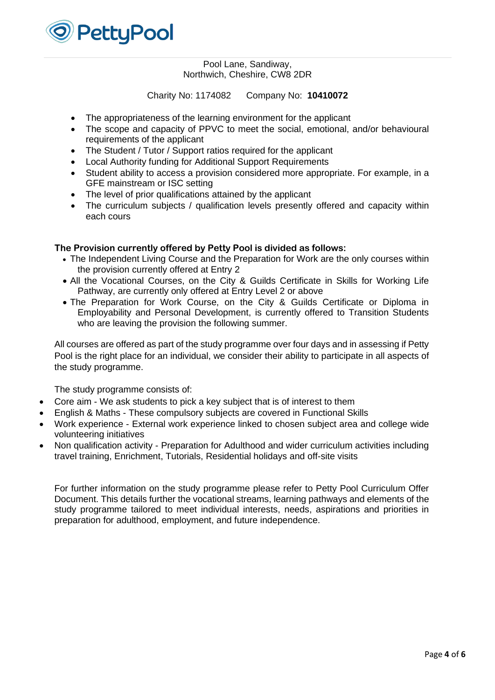

Charity No: 1174082 Company No: **10410072**

- The appropriateness of the learning environment for the applicant
- The scope and capacity of PPVC to meet the social, emotional, and/or behavioural requirements of the applicant
- The Student / Tutor / Support ratios required for the applicant
- Local Authority funding for Additional Support Requirements
- Student ability to access a provision considered more appropriate. For example, in a GFE mainstream or ISC setting
- The level of prior qualifications attained by the applicant
- The curriculum subjects / qualification levels presently offered and capacity within each cours

# **The Provision currently offered by Petty Pool is divided as follows:**

- The Independent Living Course and the Preparation for Work are the only courses within the provision currently offered at Entry 2
- All the Vocational Courses, on the City & Guilds Certificate in Skills for Working Life Pathway, are currently only offered at Entry Level 2 or above
- The Preparation for Work Course, on the City & Guilds Certificate or Diploma in Employability and Personal Development, is currently offered to Transition Students who are leaving the provision the following summer.

All courses are offered as part of the study programme over four days and in assessing if Petty Pool is the right place for an individual, we consider their ability to participate in all aspects of the study programme.

The study programme consists of:

- Core aim We ask students to pick a key subject that is of interest to them
- English & Maths These compulsory subjects are covered in [Functional Skills](https://www.pettypool.org.uk/vocational-courses/functional-skills/)
- Work experience External work experience linked to chosen subject area and college wide volunteering initiatives
- Non qualification activity Preparation for Adulthood and wider curriculum activities including travel training, [Enrichment,](https://www.pettypool.org.uk/vocational-courses/enrichment/) [Tutorials,](https://www.pettypool.org.uk/vocational-courses/tutorial/) [Residential holidays](https://www.pettypool.org.uk/pettypool-life/) and off-site visits

For further information on the study programme please refer to Petty Pool Curriculum Offer Document. This details further the vocational streams, learning pathways and elements of the study programme tailored to meet individual interests, needs, aspirations and priorities in preparation for adulthood, employment, and future independence.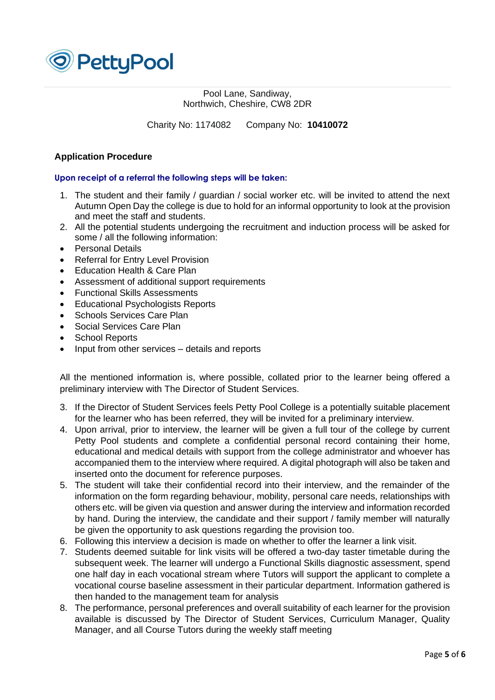

Charity No: 1174082 Company No: **10410072**

# **Application Procedure**

# **Upon receipt of a referral the following steps will be taken:**

- 1. The student and their family / guardian / social worker etc. will be invited to attend the next Autumn Open Day the college is due to hold for an informal opportunity to look at the provision and meet the staff and students.
- 2. All the potential students undergoing the recruitment and induction process will be asked for some / all the following information:
- Personal Details
- Referral for Entry Level Provision
- Education Health & Care Plan
- Assessment of additional support requirements
- Functional Skills Assessments
- Educational Psychologists Reports
- Schools Services Care Plan
- Social Services Care Plan
- School Reports
- Input from other services details and reports

All the mentioned information is, where possible, collated prior to the learner being offered a preliminary interview with The Director of Student Services.

- 3. If the Director of Student Services feels Petty Pool College is a potentially suitable placement for the learner who has been referred, they will be invited for a preliminary interview.
- 4. Upon arrival, prior to interview, the learner will be given a full tour of the college by current Petty Pool students and complete a confidential personal record containing their home, educational and medical details with support from the college administrator and whoever has accompanied them to the interview where required. A digital photograph will also be taken and inserted onto the document for reference purposes.
- 5. The student will take their confidential record into their interview, and the remainder of the information on the form regarding behaviour, mobility, personal care needs, relationships with others etc. will be given via question and answer during the interview and information recorded by hand. During the interview, the candidate and their support / family member will naturally be given the opportunity to ask questions regarding the provision too.
- 6. Following this interview a decision is made on whether to offer the learner a link visit.
- 7. Students deemed suitable for link visits will be offered a two-day taster timetable during the subsequent week. The learner will undergo a Functional Skills diagnostic assessment, spend one half day in each vocational stream where Tutors will support the applicant to complete a vocational course baseline assessment in their particular department. Information gathered is then handed to the management team for analysis
- 8. The performance, personal preferences and overall suitability of each learner for the provision available is discussed by The Director of Student Services, Curriculum Manager, Quality Manager, and all Course Tutors during the weekly staff meeting